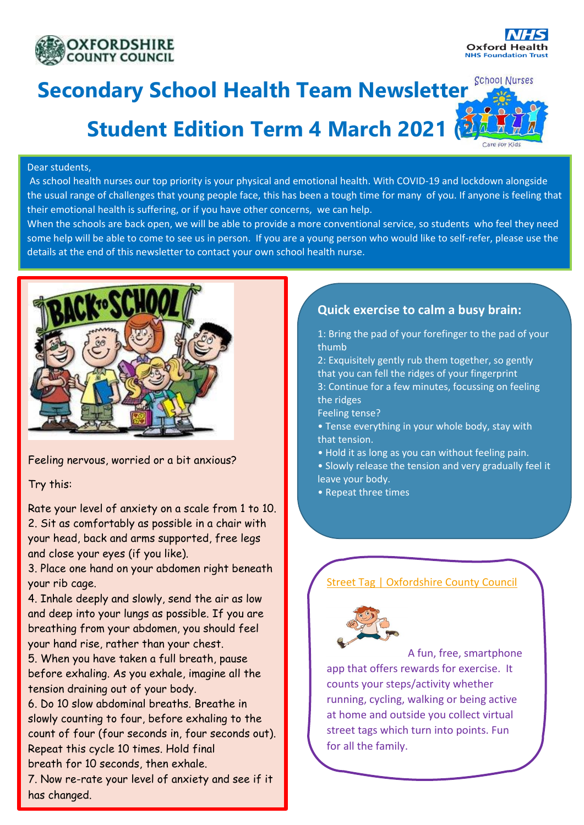



**School Nurses** 

# **Secondary School Health Team Newsletter**

# **Student Edition Term 4 March 2021 (2)**

#### Dear students,

As school health nurses our top priority is your physical and emotional health. With COVID-19 and lockdown alongside the usual range of challenges that young people face, this has been a tough time for many of you. If anyone is feeling that their emotional health is suffering, or if you have other concerns, we can help.

When the schools are back open, we will be able to provide a more conventional service, so students who feel they need some help will be able to come to see us in person. If you are a young person who would like to self-refer, please use the details at the end of this newsletter to contact your own school health nurse.



Feeling nervous, worried or a bit anxious?

Try this:

Rate your level of anxiety on a scale from 1 to 10. 2. Sit as comfortably as possible in a chair with your head, back and arms supported, free legs and close your eyes (if you like).

3. Place one hand on your abdomen right beneath your rib cage.

4. Inhale deeply and slowly, send the air as low and deep into your lungs as possible. If you are breathing from your abdomen, you should feel your hand rise, rather than your chest.

5. When you have taken a full breath, pause before exhaling. As you exhale, imagine all the tension draining out of your body.

6. Do 10 slow abdominal breaths. Breathe in slowly counting to four, before exhaling to the count of four (four seconds in, four seconds out). Repeat this cycle 10 times. Hold final breath for 10 seconds, then exhale.

7. Now re-rate your level of anxiety and see if it has changed.

## **Quick exercise to calm a busy brain:**

1: Bring the pad of your forefinger to the pad of your thumb

2: Exquisitely gently rub them together, so gently that you can fell the ridges of your fingerprint 3: Continue for a few minutes, focussing on feeling the ridges

Feeling tense?

- Tense everything in your whole body, stay with that tension.
- Hold it as long as you can without feeling pain.
- Slowly release the tension and very gradually feel it leave your body.
- Repeat three times

# [Street Tag | Oxfordshire County Council](https://www.oxfordshire.gov.uk/residents/social-and-health-care/public-health-and-wellbeing/street-tag)



A fun, free, smartphone app that offers rewards for exercise. It counts your steps/activity whether running, cycling, walking or being active at home and outside you collect virtual street tags which turn into points. Fun for all the family.